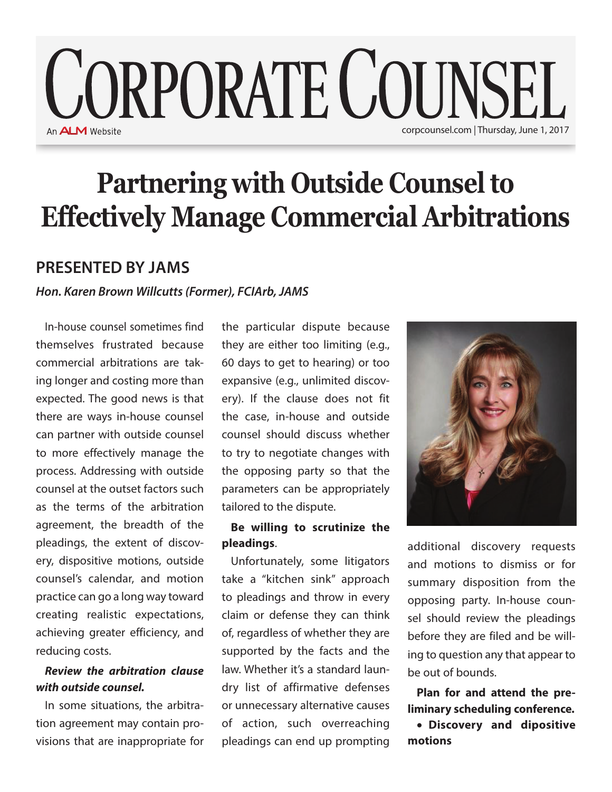# **CORPORATE COUNSEL** An **ALM** Website corpcounsel.com | Thursday, June 1, 2017

# **Partnering with Outside Counsel to Effectively Manage Commercial Arbitrations**

# **PRESENTED BY JAMS**

*Hon. Karen Brown Willcutts (Former), FCIArb, JAMS*

In-house counsel sometimes find themselves frustrated because commercial arbitrations are taking longer and costing more than expected. The good news is that there are ways in-house counsel can partner with outside counsel to more effectively manage the process. Addressing with outside counsel at the outset factors such as the terms of the arbitration agreement, the breadth of the pleadings, the extent of discovery, dispositive motions, outside counsel's calendar, and motion practice can go a long way toward creating realistic expectations, achieving greater efficiency, and reducing costs.

## *Review the arbitration clause with outside counsel.*

In some situations, the arbitration agreement may contain provisions that are inappropriate for the particular dispute because they are either too limiting (e.g., 60 days to get to hearing) or too expansive (e.g., unlimited discovery). If the clause does not fit the case, in-house and outside counsel should discuss whether to try to negotiate changes with the opposing party so that the parameters can be appropriately tailored to the dispute.

### **Be willing to scrutinize the pleadings**.

Unfortunately, some litigators take a "kitchen sink" approach to pleadings and throw in every claim or defense they can think of, regardless of whether they are supported by the facts and the law. Whether it's a standard laundry list of affirmative defenses or unnecessary alternative causes of action, such overreaching pleadings can end up prompting



additional discovery requests and motions to dismiss or for summary disposition from the opposing party. In-house counsel should review the pleadings before they are filed and be willing to question any that appear to be out of bounds.

**Plan for and attend the preliminary scheduling conference.**  • **Discovery and dipositive** 

**motions**